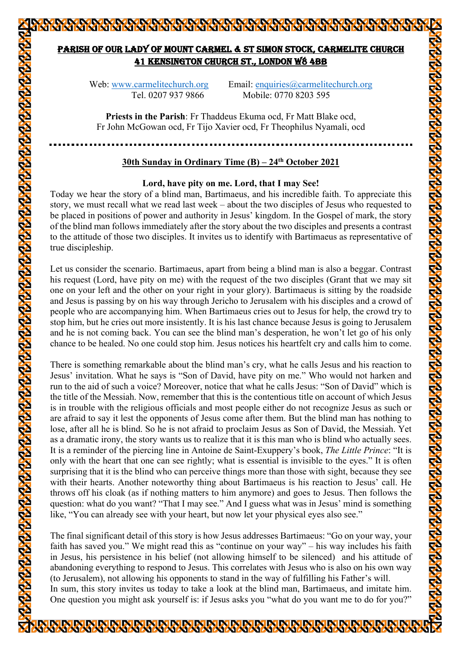# PARISH OF OUR LADY OF MOUNT CARMEL & ST SIMON STOCK, CARMELITE CHURCH 41 KENSINGTON CHURCH ST., LONDON W8 4BB

Web: www.carmelitechurch.org Email: enquiries@carmelitechurch.org Tel. 0207 937 9866 Mobile: 0770 8203 595

**Priests in the Parish**: Fr Thaddeus Ekuma ocd, Fr Matt Blake ocd, Fr John McGowan ocd, Fr Tijo Xavier ocd, Fr Theophilus Nyamali, ocd

## **30th Sunday in Ordinary Time (B) – 24th October 2021**

## **Lord, have pity on me. Lord, that I may See!**

Today we hear the story of a blind man, Bartimaeus, and his incredible faith. To appreciate this story, we must recall what we read last week – about the two disciples of Jesus who requested to be placed in positions of power and authority in Jesus' kingdom. In the Gospel of mark, the story of the blind man follows immediately after the story about the two disciples and presents a contrast to the attitude of those two disciples. It invites us to identify with Bartimaeus as representative of true discipleship.

Let us consider the scenario. Bartimaeus, apart from being a blind man is also a beggar. Contrast his request (Lord, have pity on me) with the request of the two disciples (Grant that we may sit one on your left and the other on your right in your glory). Bartimaeus is sitting by the roadside and Jesus is passing by on his way through Jericho to Jerusalem with his disciples and a crowd of people who are accompanying him. When Bartimaeus cries out to Jesus for help, the crowd try to stop him, but he cries out more insistently. It is his last chance because Jesus is going to Jerusalem and he is not coming back. You can see the blind man's desperation, he won't let go of his only chance to be healed. No one could stop him. Jesus notices his heartfelt cry and calls him to come.

There is something remarkable about the blind man's cry, what he calls Jesus and his reaction to Jesus' invitation. What he says is "Son of David, have pity on me." Who would not harken and run to the aid of such a voice? Moreover, notice that what he calls Jesus: "Son of David" which is the title of the Messiah. Now, remember that this is the contentious title on account of which Jesus is in trouble with the religious officials and most people either do not recognize Jesus as such or are afraid to say it lest the opponents of Jesus come after them. But the blind man has nothing to lose, after all he is blind. So he is not afraid to proclaim Jesus as Son of David, the Messiah. Yet as a dramatic irony, the story wants us to realize that it is this man who is blind who actually sees. It is a reminder of the piercing line in Antoine de Saint-Exuppery's book, *The Little Prince*: "It is only with the heart that one can see rightly; what is essential is invisible to the eyes." It is often surprising that it is the blind who can perceive things more than those with sight, because they see with their hearts. Another noteworthy thing about Bartimaeus is his reaction to Jesus' call. He throws off his cloak (as if nothing matters to him anymore) and goes to Jesus. Then follows the question: what do you want? "That I may see." And I guess what was in Jesus' mind is something like, "You can already see with your heart, but now let your physical eyes also see."

The final significant detail of this story is how Jesus addresses Bartimaeus: "Go on your way, your faith has saved you." We might read this as "continue on your way" – his way includes his faith in Jesus, his persistence in his belief (not allowing himself to be silenced) and his attitude of abandoning everything to respond to Jesus. This correlates with Jesus who is also on his own way (to Jerusalem), not allowing his opponents to stand in the way of fulfilling his Father's will. In sum, this story invites us today to take a look at the blind man, Bartimaeus, and imitate him. One question you might ask yourself is: if Jesus asks you "what do you want me to do for you?"